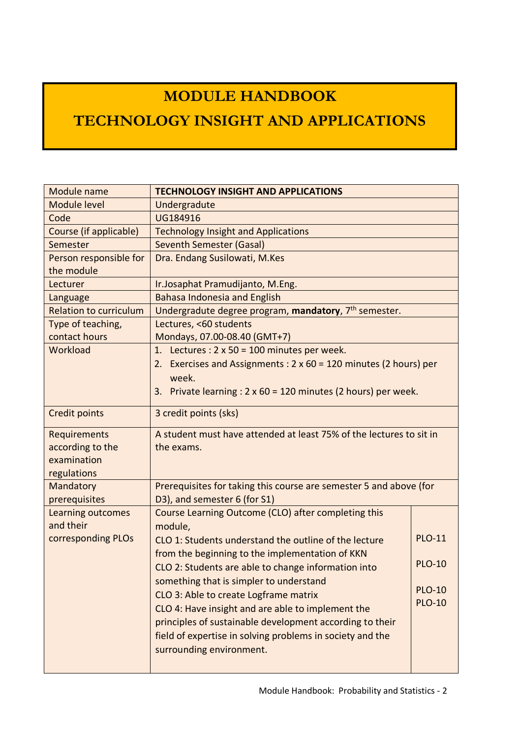# **MODULE HANDBOOK**

## **TECHNOLOGY INSIGHT AND APPLICATIONS**

| Module name                   | <b>TECHNOLOGY INSIGHT AND APPLICATIONS</b>                               |               |
|-------------------------------|--------------------------------------------------------------------------|---------------|
| <b>Module level</b>           | Undergradute                                                             |               |
| Code                          | UG184916                                                                 |               |
| Course (if applicable)        | <b>Technology Insight and Applications</b>                               |               |
| Semester                      | <b>Seventh Semester (Gasal)</b>                                          |               |
| Person responsible for        | Dra. Endang Susilowati, M.Kes                                            |               |
| the module                    |                                                                          |               |
| Lecturer                      | Ir.Josaphat Pramudijanto, M.Eng.                                         |               |
| Language                      | <b>Bahasa Indonesia and English</b>                                      |               |
| <b>Relation to curriculum</b> | Undergradute degree program, mandatory, 7 <sup>th</sup> semester.        |               |
| Type of teaching,             | Lectures, <60 students                                                   |               |
| contact hours                 | Mondays, 07.00-08.40 (GMT+7)                                             |               |
| Workload                      | 1. Lectures : $2 \times 50 = 100$ minutes per week.                      |               |
|                               | Exercises and Assignments: 2 x 60 = 120 minutes (2 hours) per<br>2.      |               |
|                               | week.                                                                    |               |
|                               | Private learning : $2 \times 60 = 120$ minutes (2 hours) per week.<br>3. |               |
| Credit points                 | 3 credit points (sks)                                                    |               |
| <b>Requirements</b>           | A student must have attended at least 75% of the lectures to sit in      |               |
| according to the              | the exams.                                                               |               |
| examination                   |                                                                          |               |
| regulations                   |                                                                          |               |
| Mandatory                     | Prerequisites for taking this course are semester 5 and above (for       |               |
| prerequisites                 | D3), and semester 6 (for S1)                                             |               |
| Learning outcomes             | Course Learning Outcome (CLO) after completing this                      |               |
| and their                     | module,                                                                  |               |
| corresponding PLOs            | CLO 1: Students understand the outline of the lecture                    | <b>PLO-11</b> |
|                               | from the beginning to the implementation of KKN                          |               |
|                               | CLO 2: Students are able to change information into                      | <b>PLO-10</b> |
|                               | something that is simpler to understand                                  |               |
|                               | CLO 3: Able to create Logframe matrix                                    | <b>PLO-10</b> |
|                               | CLO 4: Have insight and are able to implement the                        | <b>PLO-10</b> |
|                               | principles of sustainable development according to their                 |               |
|                               | field of expertise in solving problems in society and the                |               |
|                               | surrounding environment.                                                 |               |
|                               |                                                                          |               |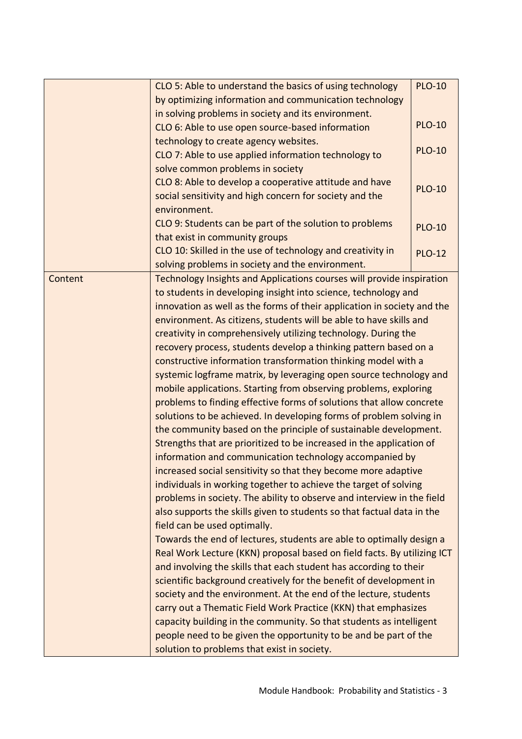|         | CLO 5: Able to understand the basics of using technology                | <b>PLO-10</b> |
|---------|-------------------------------------------------------------------------|---------------|
|         | by optimizing information and communication technology                  |               |
|         | in solving problems in society and its environment.                     |               |
|         | CLO 6: Able to use open source-based information                        | <b>PLO-10</b> |
|         | technology to create agency websites.                                   |               |
|         | CLO 7: Able to use applied information technology to                    | <b>PLO-10</b> |
|         | solve common problems in society                                        |               |
|         | CLO 8: Able to develop a cooperative attitude and have                  | <b>PLO-10</b> |
|         | social sensitivity and high concern for society and the                 |               |
|         | environment.                                                            |               |
|         | CLO 9: Students can be part of the solution to problems                 | <b>PLO-10</b> |
|         | that exist in community groups                                          |               |
|         | CLO 10: Skilled in the use of technology and creativity in              | <b>PLO-12</b> |
|         | solving problems in society and the environment.                        |               |
| Content | Technology Insights and Applications courses will provide inspiration   |               |
|         | to students in developing insight into science, technology and          |               |
|         | innovation as well as the forms of their application in society and the |               |
|         | environment. As citizens, students will be able to have skills and      |               |
|         | creativity in comprehensively utilizing technology. During the          |               |
|         | recovery process, students develop a thinking pattern based on a        |               |
|         | constructive information transformation thinking model with a           |               |
|         | systemic logframe matrix, by leveraging open source technology and      |               |
|         | mobile applications. Starting from observing problems, exploring        |               |
|         | problems to finding effective forms of solutions that allow concrete    |               |
|         | solutions to be achieved. In developing forms of problem solving in     |               |
|         | the community based on the principle of sustainable development.        |               |
|         | Strengths that are prioritized to be increased in the application of    |               |
|         | information and communication technology accompanied by                 |               |
|         | increased social sensitivity so that they become more adaptive          |               |
|         | individuals in working together to achieve the target of solving        |               |
|         | problems in society. The ability to observe and interview in the field  |               |
|         | also supports the skills given to students so that factual data in the  |               |
|         | field can be used optimally.                                            |               |
|         | Towards the end of lectures, students are able to optimally design a    |               |
|         | Real Work Lecture (KKN) proposal based on field facts. By utilizing ICT |               |
|         | and involving the skills that each student has according to their       |               |
|         | scientific background creatively for the benefit of development in      |               |
|         | society and the environment. At the end of the lecture, students        |               |
|         | carry out a Thematic Field Work Practice (KKN) that emphasizes          |               |
|         | capacity building in the community. So that students as intelligent     |               |
|         | people need to be given the opportunity to be and be part of the        |               |
|         | solution to problems that exist in society.                             |               |
|         |                                                                         |               |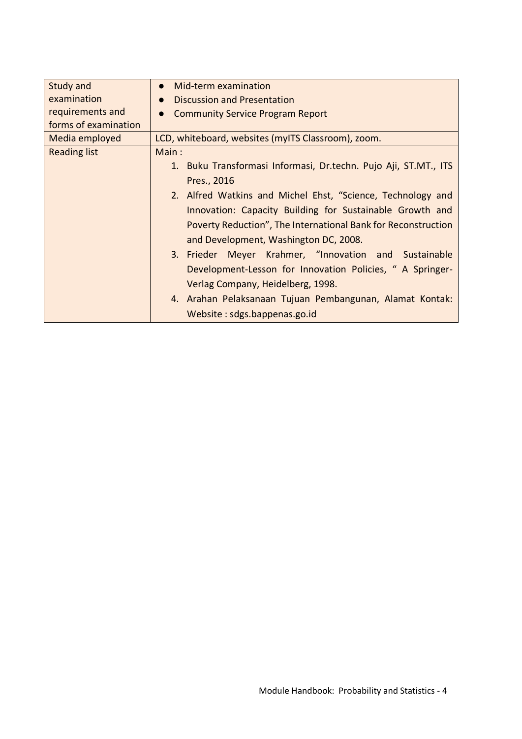| Study and            | Mid-term examination<br>$\bullet$                               |
|----------------------|-----------------------------------------------------------------|
| examination          | <b>Discussion and Presentation</b><br>$\bullet$                 |
| requirements and     | <b>Community Service Program Report</b>                         |
| forms of examination |                                                                 |
| Media employed       | LCD, whiteboard, websites (myITS Classroom), zoom.              |
| <b>Reading list</b>  | Main:                                                           |
|                      | 1. Buku Transformasi Informasi, Dr.techn. Pujo Aji, ST.MT., ITS |
|                      | Pres., 2016                                                     |
|                      | 2. Alfred Watkins and Michel Ehst, "Science, Technology and     |
|                      | Innovation: Capacity Building for Sustainable Growth and        |
|                      | Poverty Reduction", The International Bank for Reconstruction   |
|                      | and Development, Washington DC, 2008.                           |
|                      | 3. Frieder Meyer Krahmer, "Innovation and Sustainable           |
|                      | Development-Lesson for Innovation Policies, "A Springer-        |
|                      | Verlag Company, Heidelberg, 1998.                               |
|                      | 4. Arahan Pelaksanaan Tujuan Pembangunan, Alamat Kontak:        |
|                      | Website: sdgs.bappenas.go.id                                    |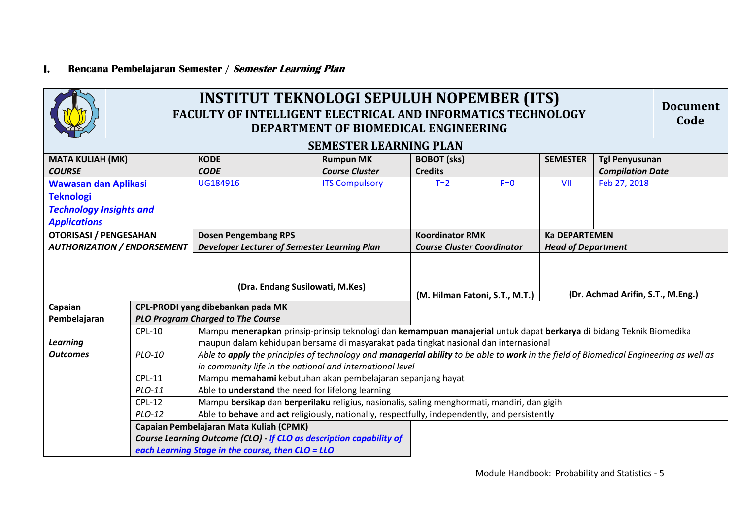#### **I. Rencana Pembelajaran Semester / Semester Learning Plan**



### **INSTITUT TEKNOLOGI SEPULUH NOPEMBER (ITS) FACULTY OF INTELLIGENT ELECTRICAL AND INFORMATICS TECHNOLOGY DEPARTMENT OF BIOMEDICAL ENGINEERING**

**Document Code**

|                                    |               |                                                                                               | <b>SEMESTER LEARNING PLAN</b> |                                                                                                                     |  |                                   |                                                                                                                                        |  |  |
|------------------------------------|---------------|-----------------------------------------------------------------------------------------------|-------------------------------|---------------------------------------------------------------------------------------------------------------------|--|-----------------------------------|----------------------------------------------------------------------------------------------------------------------------------------|--|--|
| <b>MATA KULIAH (MK)</b>            |               | <b>KODE</b>                                                                                   | <b>Rumpun MK</b>              | <b>BOBOT</b> (sks)                                                                                                  |  | <b>SEMESTER</b>                   | <b>Tgl Penyusunan</b>                                                                                                                  |  |  |
| <b>COURSE</b>                      |               | <b>CODE</b>                                                                                   | <b>Course Cluster</b>         | <b>Credits</b>                                                                                                      |  |                                   | <b>Compilation Date</b>                                                                                                                |  |  |
| <b>Wawasan dan Aplikasi</b>        |               | UG184916                                                                                      | <b>ITS Compulsory</b>         | $T=2$<br>$P=0$                                                                                                      |  | VII                               | Feb 27, 2018                                                                                                                           |  |  |
| <b>Teknologi</b>                   |               |                                                                                               |                               |                                                                                                                     |  |                                   |                                                                                                                                        |  |  |
| <b>Technology Insights and</b>     |               |                                                                                               |                               |                                                                                                                     |  |                                   |                                                                                                                                        |  |  |
| <b>Applications</b>                |               |                                                                                               |                               |                                                                                                                     |  |                                   |                                                                                                                                        |  |  |
| <b>OTORISASI / PENGESAHAN</b>      |               | <b>Dosen Pengembang RPS</b>                                                                   |                               | <b>Koordinator RMK</b>                                                                                              |  | <b>Ka DEPARTEMEN</b>              |                                                                                                                                        |  |  |
| <b>AUTHORIZATION / ENDORSEMENT</b> |               | <b>Developer Lecturer of Semester Learning Plan</b>                                           |                               | <b>Course Cluster Coordinator</b>                                                                                   |  | <b>Head of Department</b>         |                                                                                                                                        |  |  |
|                                    |               |                                                                                               |                               |                                                                                                                     |  |                                   |                                                                                                                                        |  |  |
|                                    |               |                                                                                               |                               |                                                                                                                     |  |                                   |                                                                                                                                        |  |  |
|                                    |               | (Dra. Endang Susilowati, M.Kes)                                                               |                               |                                                                                                                     |  |                                   |                                                                                                                                        |  |  |
|                                    |               |                                                                                               |                               | (M. Hilman Fatoni, S.T., M.T.)                                                                                      |  | (Dr. Achmad Arifin, S.T., M.Eng.) |                                                                                                                                        |  |  |
| Capaian                            |               | CPL-PRODI yang dibebankan pada MK                                                             |                               |                                                                                                                     |  |                                   |                                                                                                                                        |  |  |
| Pembelajaran                       |               | <b>PLO Program Charged to The Course</b>                                                      |                               |                                                                                                                     |  |                                   |                                                                                                                                        |  |  |
|                                    | $CPL-10$      |                                                                                               |                               | Mampu menerapkan prinsip-prinsip teknologi dan kemampuan manajerial untuk dapat berkarya di bidang Teknik Biomedika |  |                                   |                                                                                                                                        |  |  |
| <b>Learning</b>                    |               | maupun dalam kehidupan bersama di masyarakat pada tingkat nasional dan internasional          |                               |                                                                                                                     |  |                                   |                                                                                                                                        |  |  |
| <b>Outcomes</b>                    | PLO-10        |                                                                                               |                               |                                                                                                                     |  |                                   | Able to apply the principles of technology and managerial ability to be able to work in the field of Biomedical Engineering as well as |  |  |
|                                    |               | in community life in the national and international level                                     |                               |                                                                                                                     |  |                                   |                                                                                                                                        |  |  |
|                                    | <b>CPL-11</b> | Mampu memahami kebutuhan akan pembelajaran sepanjang hayat                                    |                               |                                                                                                                     |  |                                   |                                                                                                                                        |  |  |
|                                    | PLO-11        | Able to understand the need for lifelong learning                                             |                               |                                                                                                                     |  |                                   |                                                                                                                                        |  |  |
|                                    | $CPL-12$      | Mampu bersikap dan berperilaku religius, nasionalis, saling menghormati, mandiri, dan gigih   |                               |                                                                                                                     |  |                                   |                                                                                                                                        |  |  |
|                                    | PLO-12        | Able to behave and act religiously, nationally, respectfully, independently, and persistently |                               |                                                                                                                     |  |                                   |                                                                                                                                        |  |  |
|                                    |               | Capaian Pembelajaran Mata Kuliah (CPMK)                                                       |                               |                                                                                                                     |  |                                   |                                                                                                                                        |  |  |
|                                    |               | Course Learning Outcome (CLO) - If CLO as description capability of                           |                               |                                                                                                                     |  |                                   |                                                                                                                                        |  |  |
|                                    |               | each Learning Stage in the course, then CLO = LLO                                             |                               |                                                                                                                     |  |                                   |                                                                                                                                        |  |  |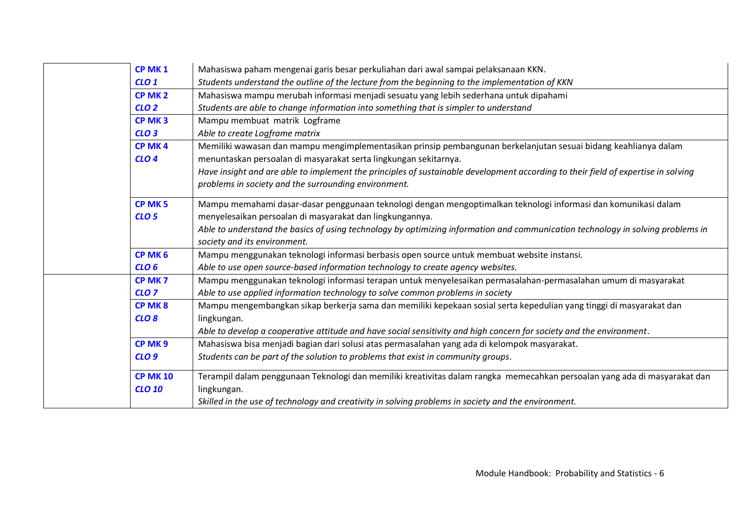| CP MK <sub>1</sub> | Mahasiswa paham mengenai garis besar perkuliahan dari awal sampai pelaksanaan KKN.                                                |
|--------------------|-----------------------------------------------------------------------------------------------------------------------------------|
| CLO <sub>1</sub>   | Students understand the outline of the lecture from the beginning to the implementation of KKN                                    |
| CP MK <sub>2</sub> | Mahasiswa mampu merubah informasi menjadi sesuatu yang lebih sederhana untuk dipahami                                             |
| CLO <sub>2</sub>   | Students are able to change information into something that is simpler to understand                                              |
| CP MK <sub>3</sub> | Mampu membuat matrik Logframe                                                                                                     |
| CLO <sub>3</sub>   | Able to create Logframe matrix                                                                                                    |
| CP MK4             | Memiliki wawasan dan mampu mengimplementasikan prinsip pembangunan berkelanjutan sesuai bidang keahlianya dalam                   |
| CLO <sub>4</sub>   | menuntaskan persoalan di masyarakat serta lingkungan sekitarnya.                                                                  |
|                    | Have insight and are able to implement the principles of sustainable development according to their field of expertise in solving |
|                    | problems in society and the surrounding environment.                                                                              |
| CP MK <sub>5</sub> | Mampu memahami dasar-dasar penggunaan teknologi dengan mengoptimalkan teknologi informasi dan komunikasi dalam                    |
| CLO <sub>5</sub>   | menyelesaikan persoalan di masyarakat dan lingkungannya.                                                                          |
|                    | Able to understand the basics of using technology by optimizing information and communication technology in solving problems in   |
|                    | society and its environment.                                                                                                      |
| CP MK <sub>6</sub> | Mampu menggunakan teknologi informasi berbasis open source untuk membuat website instansi.                                        |
| CLO <sub>6</sub>   | Able to use open source-based information technology to create agency websites.                                                   |
| CP MK <sub>7</sub> | Mampu menggunakan teknologi informasi terapan untuk menyelesaikan permasalahan-permasalahan umum di masyarakat                    |
| CLO <sub>7</sub>   | Able to use applied information technology to solve common problems in society                                                    |
| CP MK8             | Mampu mengembangkan sikap berkerja sama dan memiliki kepekaan sosial serta kepedulian yang tinggi di masyarakat dan               |
| CLO <sub>8</sub>   | lingkungan.                                                                                                                       |
|                    | Able to develop a cooperative attitude and have social sensitivity and high concern for society and the environment.              |
| CP MK9             | Mahasiswa bisa menjadi bagian dari solusi atas permasalahan yang ada di kelompok masyarakat.                                      |
| CLO <sub>9</sub>   | Students can be part of the solution to problems that exist in community groups.                                                  |
|                    |                                                                                                                                   |
| <b>CP MK 10</b>    | Terampil dalam penggunaan Teknologi dan memiliki kreativitas dalam rangka memecahkan persoalan yang ada di masyarakat dan         |
| <b>CLO 10</b>      | lingkungan.                                                                                                                       |
|                    | Skilled in the use of technology and creativity in solving problems in society and the environment.                               |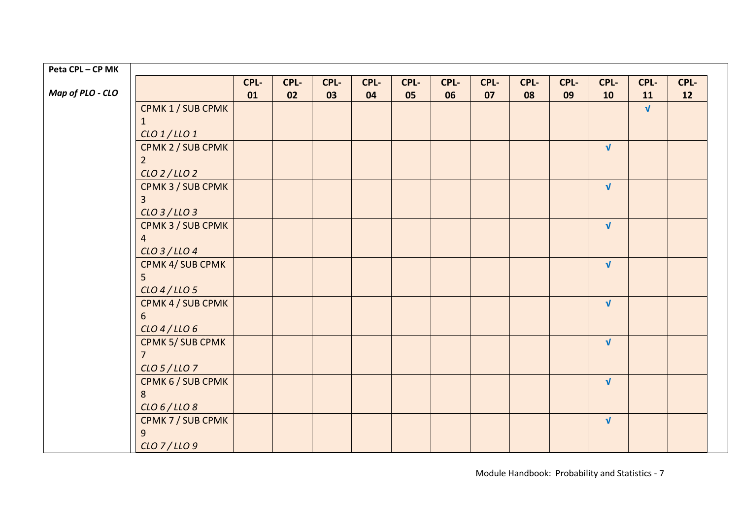| Peta CPL - CP MK |                   |      |      |      |      |      |      |      |      |      |              |            |      |  |
|------------------|-------------------|------|------|------|------|------|------|------|------|------|--------------|------------|------|--|
|                  |                   | CPL- | CPL- | CPL- | CPL- | CPL- | CPL- | CPL- | CPL- | CPL- | CPL-         | CPL-       | CPL- |  |
| Map of PLO - CLO |                   | 01   | 02   | 03   | 04   | 05   | 06   | 07   | 08   | 09   | 10           | 11         | 12   |  |
|                  | CPMK 1 / SUB CPMK |      |      |      |      |      |      |      |      |      |              | $\sqrt{ }$ |      |  |
|                  | 1                 |      |      |      |      |      |      |      |      |      |              |            |      |  |
|                  | $CLO$ 1/LLO 1     |      |      |      |      |      |      |      |      |      |              |            |      |  |
|                  | CPMK 2 / SUB CPMK |      |      |      |      |      |      |      |      |      | $\sqrt{ }$   |            |      |  |
|                  | $\overline{2}$    |      |      |      |      |      |      |      |      |      |              |            |      |  |
|                  | CLO 2/LLO 2       |      |      |      |      |      |      |      |      |      |              |            |      |  |
|                  | CPMK 3 / SUB CPMK |      |      |      |      |      |      |      |      |      | $\sqrt{ }$   |            |      |  |
|                  | 3                 |      |      |      |      |      |      |      |      |      |              |            |      |  |
|                  | CLO 3/LLO 3       |      |      |      |      |      |      |      |      |      |              |            |      |  |
|                  | CPMK 3 / SUB CPMK |      |      |      |      |      |      |      |      |      | $\sqrt{ }$   |            |      |  |
|                  | $\overline{a}$    |      |      |      |      |      |      |      |      |      |              |            |      |  |
|                  | $CLO$ 3 / LLO 4   |      |      |      |      |      |      |      |      |      |              |            |      |  |
|                  | CPMK 4/ SUB CPMK  |      |      |      |      |      |      |      |      |      | $\sqrt{ }$   |            |      |  |
|                  | 5                 |      |      |      |      |      |      |      |      |      |              |            |      |  |
|                  | $CLO$ 4 / LLO 5   |      |      |      |      |      |      |      |      |      |              |            |      |  |
|                  | CPMK 4 / SUB CPMK |      |      |      |      |      |      |      |      |      | $\sqrt{ }$   |            |      |  |
|                  | 6                 |      |      |      |      |      |      |      |      |      |              |            |      |  |
|                  | $CLO$ 4/LLO6      |      |      |      |      |      |      |      |      |      |              |            |      |  |
|                  | CPMK 5/ SUB CPMK  |      |      |      |      |      |      |      |      |      | $\mathbf{V}$ |            |      |  |
|                  | $\overline{7}$    |      |      |      |      |      |      |      |      |      |              |            |      |  |
|                  | CLO 5/LLO 7       |      |      |      |      |      |      |      |      |      |              |            |      |  |
|                  | CPMK 6 / SUB CPMK |      |      |      |      |      |      |      |      |      | $\sqrt{ }$   |            |      |  |
|                  | 8                 |      |      |      |      |      |      |      |      |      |              |            |      |  |
|                  | CLO 6/LLO 8       |      |      |      |      |      |      |      |      |      |              |            |      |  |
|                  | CPMK 7 / SUB CPMK |      |      |      |      |      |      |      |      |      | $\sqrt{ }$   |            |      |  |
|                  | $\overline{9}$    |      |      |      |      |      |      |      |      |      |              |            |      |  |
|                  | CLO 7/LLO 9       |      |      |      |      |      |      |      |      |      |              |            |      |  |

Module Handbook: Probability and Statistics - 7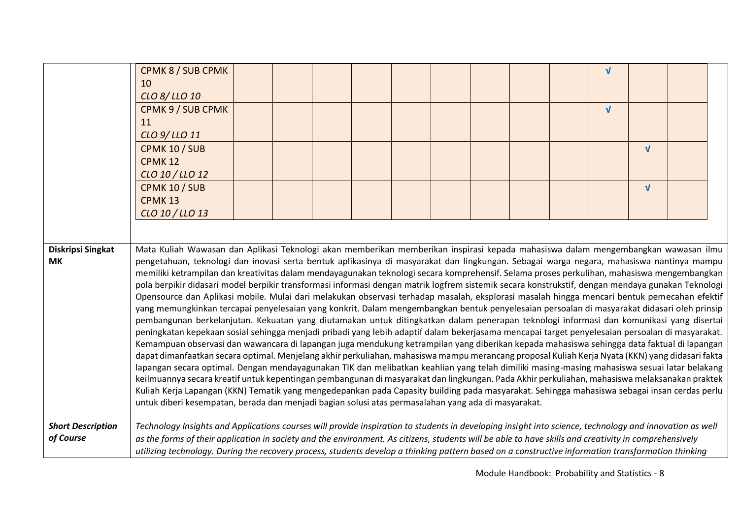|                                | CPMK 8 / SUB CPMK<br>10<br>CLO 8/LLO 10<br>CPMK 9 / SUB CPMK                                                                                                                                                                                                                                                                                                                                                                                                                                                                                                                                                                                                                                                                                                                                                                                                                                                                                                                                                                                                                                                                                                                                                                                                                                                                                                                                                                                                                                                                                                                                                                                                                                                                                                                                                                                                                                                                                                                                                                          |  |  |  |  | $\sqrt{ }$<br>$\sqrt{ }$ |            |  |
|--------------------------------|---------------------------------------------------------------------------------------------------------------------------------------------------------------------------------------------------------------------------------------------------------------------------------------------------------------------------------------------------------------------------------------------------------------------------------------------------------------------------------------------------------------------------------------------------------------------------------------------------------------------------------------------------------------------------------------------------------------------------------------------------------------------------------------------------------------------------------------------------------------------------------------------------------------------------------------------------------------------------------------------------------------------------------------------------------------------------------------------------------------------------------------------------------------------------------------------------------------------------------------------------------------------------------------------------------------------------------------------------------------------------------------------------------------------------------------------------------------------------------------------------------------------------------------------------------------------------------------------------------------------------------------------------------------------------------------------------------------------------------------------------------------------------------------------------------------------------------------------------------------------------------------------------------------------------------------------------------------------------------------------------------------------------------------|--|--|--|--|--------------------------|------------|--|
|                                | 11<br>CLO 9/LLO 11                                                                                                                                                                                                                                                                                                                                                                                                                                                                                                                                                                                                                                                                                                                                                                                                                                                                                                                                                                                                                                                                                                                                                                                                                                                                                                                                                                                                                                                                                                                                                                                                                                                                                                                                                                                                                                                                                                                                                                                                                    |  |  |  |  |                          |            |  |
|                                | CPMK 10 / SUB<br><b>CPMK 12</b>                                                                                                                                                                                                                                                                                                                                                                                                                                                                                                                                                                                                                                                                                                                                                                                                                                                                                                                                                                                                                                                                                                                                                                                                                                                                                                                                                                                                                                                                                                                                                                                                                                                                                                                                                                                                                                                                                                                                                                                                       |  |  |  |  |                          | $\sqrt{ }$ |  |
|                                | CLO 10 / LLO 12<br>CPMK 10 / SUB                                                                                                                                                                                                                                                                                                                                                                                                                                                                                                                                                                                                                                                                                                                                                                                                                                                                                                                                                                                                                                                                                                                                                                                                                                                                                                                                                                                                                                                                                                                                                                                                                                                                                                                                                                                                                                                                                                                                                                                                      |  |  |  |  |                          | $\sqrt{ }$ |  |
|                                | CPMK <sub>13</sub>                                                                                                                                                                                                                                                                                                                                                                                                                                                                                                                                                                                                                                                                                                                                                                                                                                                                                                                                                                                                                                                                                                                                                                                                                                                                                                                                                                                                                                                                                                                                                                                                                                                                                                                                                                                                                                                                                                                                                                                                                    |  |  |  |  |                          |            |  |
|                                | CLO 10 / LLO 13                                                                                                                                                                                                                                                                                                                                                                                                                                                                                                                                                                                                                                                                                                                                                                                                                                                                                                                                                                                                                                                                                                                                                                                                                                                                                                                                                                                                                                                                                                                                                                                                                                                                                                                                                                                                                                                                                                                                                                                                                       |  |  |  |  |                          |            |  |
|                                |                                                                                                                                                                                                                                                                                                                                                                                                                                                                                                                                                                                                                                                                                                                                                                                                                                                                                                                                                                                                                                                                                                                                                                                                                                                                                                                                                                                                                                                                                                                                                                                                                                                                                                                                                                                                                                                                                                                                                                                                                                       |  |  |  |  |                          |            |  |
| Diskripsi Singkat<br><b>MK</b> | Mata Kuliah Wawasan dan Aplikasi Teknologi akan memberikan memberikan inspirasi kepada mahasiswa dalam mengembangkan wawasan ilmu<br>pengetahuan, teknologi dan inovasi serta bentuk aplikasinya di masyarakat dan lingkungan. Sebagai warga negara, mahasiswa nantinya mampu<br>memiliki ketrampilan dan kreativitas dalam mendayagunakan teknologi secara komprehensif. Selama proses perkulihan, mahasiswa mengembangkan<br>pola berpikir didasari model berpikir transformasi informasi dengan matrik logfrem sistemik secara konstrukstif, dengan mendaya gunakan Teknologi<br>Opensource dan Aplikasi mobile. Mulai dari melakukan observasi terhadap masalah, eksplorasi masalah hingga mencari bentuk pemecahan efektif<br>yang memungkinkan tercapai penyelesaian yang konkrit. Dalam mengembangkan bentuk penyelesaian persoalan di masyarakat didasari oleh prinsip<br>pembangunan berkelanjutan. Kekuatan yang diutamakan untuk ditingkatkan dalam penerapan teknologi informasi dan komunikasi yang disertai<br>peningkatan kepekaan sosial sehingga menjadi pribadi yang lebih adaptif dalam bekerjasama mencapai target penyelesaian persoalan di masyarakat.<br>Kemampuan observasi dan wawancara di lapangan juga mendukung ketrampilan yang diberikan kepada mahasiswa sehingga data faktual di lapangan<br>dapat dimanfaatkan secara optimal. Menjelang akhir perkuliahan, mahasiswa mampu merancang proposal Kuliah Kerja Nyata (KKN) yang didasari fakta<br>lapangan secara optimal. Dengan mendayagunakan TIK dan melibatkan keahlian yang telah dimiliki masing-masing mahasiswa sesuai latar belakang<br>keilmuannya secara kreatif untuk kepentingan pembangunan di masyarakat dan lingkungan. Pada Akhir perkuliahan, mahasiswa melaksanakan praktek<br>Kuliah Kerja Lapangan (KKN) Tematik yang mengedepankan pada Capasity building pada masyarakat. Sehingga mahasiswa sebagai insan cerdas perlu<br>untuk diberi kesempatan, berada dan menjadi bagian solusi atas permasalahan yang ada di masyarakat. |  |  |  |  |                          |            |  |
| <b>Short Description</b>       | Technology Insights and Applications courses will provide inspiration to students in developing insight into science, technology and innovation as well                                                                                                                                                                                                                                                                                                                                                                                                                                                                                                                                                                                                                                                                                                                                                                                                                                                                                                                                                                                                                                                                                                                                                                                                                                                                                                                                                                                                                                                                                                                                                                                                                                                                                                                                                                                                                                                                               |  |  |  |  |                          |            |  |
| of Course                      | as the forms of their application in society and the environment. As citizens, students will be able to have skills and creativity in comprehensively<br>utilizing technology. During the recovery process, students develop a thinking pattern based on a constructive information transformation thinking                                                                                                                                                                                                                                                                                                                                                                                                                                                                                                                                                                                                                                                                                                                                                                                                                                                                                                                                                                                                                                                                                                                                                                                                                                                                                                                                                                                                                                                                                                                                                                                                                                                                                                                           |  |  |  |  |                          |            |  |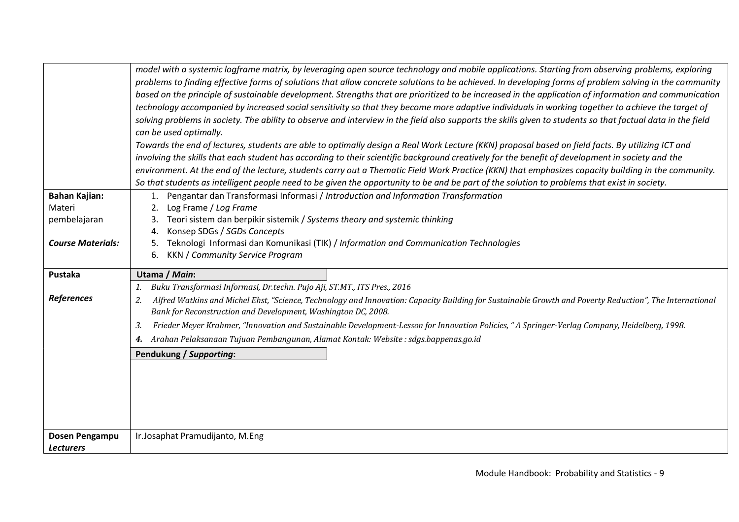|                          | model with a systemic logframe matrix, by leveraging open source technology and mobile applications. Starting from observing problems, exploring<br>problems to finding effective forms of solutions that allow concrete solutions to be achieved. In developing forms of problem solving in the community<br>based on the principle of sustainable development. Strengths that are prioritized to be increased in the application of information and communication<br>technology accompanied by increased social sensitivity so that they become more adaptive individuals in working together to achieve the target of<br>solving problems in society. The ability to observe and interview in the field also supports the skills given to students so that factual data in the field<br>can be used optimally.<br>Towards the end of lectures, students are able to optimally design a Real Work Lecture (KKN) proposal based on field facts. By utilizing ICT and<br>involving the skills that each student has according to their scientific background creatively for the benefit of development in society and the<br>environment. At the end of the lecture, students carry out a Thematic Field Work Practice (KKN) that emphasizes capacity building in the community.<br>So that students as intelligent people need to be given the opportunity to be and be part of the solution to problems that exist in society. |
|--------------------------|----------------------------------------------------------------------------------------------------------------------------------------------------------------------------------------------------------------------------------------------------------------------------------------------------------------------------------------------------------------------------------------------------------------------------------------------------------------------------------------------------------------------------------------------------------------------------------------------------------------------------------------------------------------------------------------------------------------------------------------------------------------------------------------------------------------------------------------------------------------------------------------------------------------------------------------------------------------------------------------------------------------------------------------------------------------------------------------------------------------------------------------------------------------------------------------------------------------------------------------------------------------------------------------------------------------------------------------------------------------------------------------------------------------------------------|
| <b>Bahan Kajian:</b>     | Pengantar dan Transformasi Informasi / Introduction and Information Transformation                                                                                                                                                                                                                                                                                                                                                                                                                                                                                                                                                                                                                                                                                                                                                                                                                                                                                                                                                                                                                                                                                                                                                                                                                                                                                                                                               |
| Materi                   | Log Frame / Log Frame<br>2.                                                                                                                                                                                                                                                                                                                                                                                                                                                                                                                                                                                                                                                                                                                                                                                                                                                                                                                                                                                                                                                                                                                                                                                                                                                                                                                                                                                                      |
| pembelajaran             | Teori sistem dan berpikir sistemik / Systems theory and systemic thinking                                                                                                                                                                                                                                                                                                                                                                                                                                                                                                                                                                                                                                                                                                                                                                                                                                                                                                                                                                                                                                                                                                                                                                                                                                                                                                                                                        |
|                          | Konsep SDGs / SGDs Concepts                                                                                                                                                                                                                                                                                                                                                                                                                                                                                                                                                                                                                                                                                                                                                                                                                                                                                                                                                                                                                                                                                                                                                                                                                                                                                                                                                                                                      |
| <b>Course Materials:</b> | Teknologi Informasi dan Komunikasi (TIK) / Information and Communication Technologies<br>5.<br><b>KKN</b> / Community Service Program<br>6.                                                                                                                                                                                                                                                                                                                                                                                                                                                                                                                                                                                                                                                                                                                                                                                                                                                                                                                                                                                                                                                                                                                                                                                                                                                                                      |
|                          |                                                                                                                                                                                                                                                                                                                                                                                                                                                                                                                                                                                                                                                                                                                                                                                                                                                                                                                                                                                                                                                                                                                                                                                                                                                                                                                                                                                                                                  |
| Pustaka                  | Utama / Main:                                                                                                                                                                                                                                                                                                                                                                                                                                                                                                                                                                                                                                                                                                                                                                                                                                                                                                                                                                                                                                                                                                                                                                                                                                                                                                                                                                                                                    |
|                          | Buku Transformasi Informasi, Dr.techn. Pujo Aji, ST.MT., ITS Pres., 2016<br>1.                                                                                                                                                                                                                                                                                                                                                                                                                                                                                                                                                                                                                                                                                                                                                                                                                                                                                                                                                                                                                                                                                                                                                                                                                                                                                                                                                   |
| <b>References</b>        | Alfred Watkins and Michel Ehst, "Science, Technology and Innovation: Capacity Building for Sustainable Growth and Poverty Reduction", The International<br>2.<br>Bank for Reconstruction and Development, Washington DC, 2008.                                                                                                                                                                                                                                                                                                                                                                                                                                                                                                                                                                                                                                                                                                                                                                                                                                                                                                                                                                                                                                                                                                                                                                                                   |
|                          | Frieder Meyer Krahmer, "Innovation and Sustainable Development-Lesson for Innovation Policies, "A Springer-Verlag Company, Heidelberg, 1998.<br>3.                                                                                                                                                                                                                                                                                                                                                                                                                                                                                                                                                                                                                                                                                                                                                                                                                                                                                                                                                                                                                                                                                                                                                                                                                                                                               |
|                          | Arahan Pelaksanaan Tujuan Pembangunan, Alamat Kontak: Website : sdgs.bappenas.go.id<br>4.                                                                                                                                                                                                                                                                                                                                                                                                                                                                                                                                                                                                                                                                                                                                                                                                                                                                                                                                                                                                                                                                                                                                                                                                                                                                                                                                        |
|                          | Pendukung / Supporting:                                                                                                                                                                                                                                                                                                                                                                                                                                                                                                                                                                                                                                                                                                                                                                                                                                                                                                                                                                                                                                                                                                                                                                                                                                                                                                                                                                                                          |
|                          |                                                                                                                                                                                                                                                                                                                                                                                                                                                                                                                                                                                                                                                                                                                                                                                                                                                                                                                                                                                                                                                                                                                                                                                                                                                                                                                                                                                                                                  |
|                          |                                                                                                                                                                                                                                                                                                                                                                                                                                                                                                                                                                                                                                                                                                                                                                                                                                                                                                                                                                                                                                                                                                                                                                                                                                                                                                                                                                                                                                  |
|                          |                                                                                                                                                                                                                                                                                                                                                                                                                                                                                                                                                                                                                                                                                                                                                                                                                                                                                                                                                                                                                                                                                                                                                                                                                                                                                                                                                                                                                                  |
|                          |                                                                                                                                                                                                                                                                                                                                                                                                                                                                                                                                                                                                                                                                                                                                                                                                                                                                                                                                                                                                                                                                                                                                                                                                                                                                                                                                                                                                                                  |
|                          |                                                                                                                                                                                                                                                                                                                                                                                                                                                                                                                                                                                                                                                                                                                                                                                                                                                                                                                                                                                                                                                                                                                                                                                                                                                                                                                                                                                                                                  |
| Dosen Pengampu           | Ir.Josaphat Pramudijanto, M.Eng                                                                                                                                                                                                                                                                                                                                                                                                                                                                                                                                                                                                                                                                                                                                                                                                                                                                                                                                                                                                                                                                                                                                                                                                                                                                                                                                                                                                  |
| <b>Lecturers</b>         |                                                                                                                                                                                                                                                                                                                                                                                                                                                                                                                                                                                                                                                                                                                                                                                                                                                                                                                                                                                                                                                                                                                                                                                                                                                                                                                                                                                                                                  |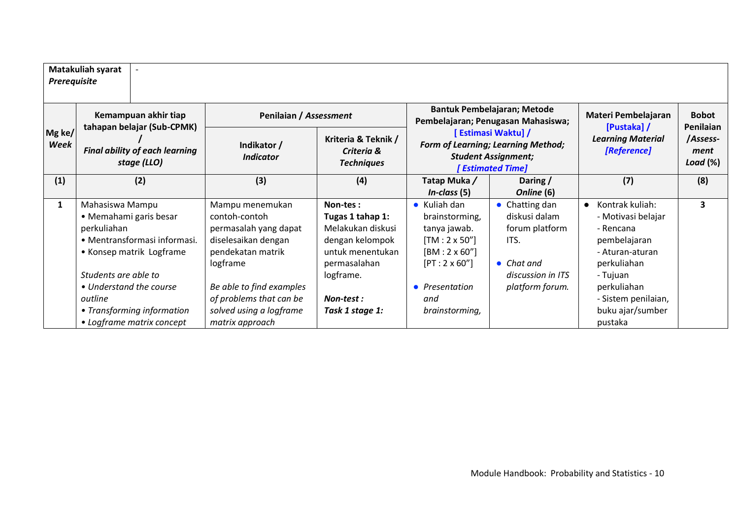| Prerequisite   | Matakuliah syarat                                                                                                                                                                  |                                                                                                                                                                          |                                                                                                                                     |                                                                                                                                                        |                                                                                                                                 |                                                                                                                                                                     |                                              |
|----------------|------------------------------------------------------------------------------------------------------------------------------------------------------------------------------------|--------------------------------------------------------------------------------------------------------------------------------------------------------------------------|-------------------------------------------------------------------------------------------------------------------------------------|--------------------------------------------------------------------------------------------------------------------------------------------------------|---------------------------------------------------------------------------------------------------------------------------------|---------------------------------------------------------------------------------------------------------------------------------------------------------------------|----------------------------------------------|
|                | Kemampuan akhir tiap                                                                                                                                                               | Penilaian / Assessment                                                                                                                                                   |                                                                                                                                     |                                                                                                                                                        | <b>Bantuk Pembelajaran; Metode</b><br>Pembelajaran; Penugasan Mahasiswa;                                                        | Materi Pembelajaran                                                                                                                                                 | <b>Bobot</b>                                 |
| Mg ke/<br>Week | tahapan belajar (Sub-CPMK)<br><b>Final ability of each learning</b><br>stage (LLO)                                                                                                 | Indikator /<br><b>Indicator</b>                                                                                                                                          | Kriteria & Teknik /<br>Criteria &<br><b>Techniques</b>                                                                              | [Estimasi Waktu] /<br>Form of Learning; Learning Method;<br><b>Student Assignment;</b><br><b>Estimated Time]</b>                                       |                                                                                                                                 | [Pustaka] /<br><b>Learning Material</b><br>[Reference]                                                                                                              | Penilaian<br>/Assess-<br>ment<br>Load $(\%)$ |
| (1)            | (2)                                                                                                                                                                                | (3)                                                                                                                                                                      | (4)                                                                                                                                 | Tatap Muka/<br>$In-class (5)$                                                                                                                          | Daring /<br>Online (6)                                                                                                          | (7)                                                                                                                                                                 | (8)                                          |
| $\mathbf{1}$   | Mahasiswa Mampu<br>• Memahami garis besar<br>perkuliahan<br>• Mentransformasi informasi.<br>• Konsep matrik Logframe<br>Students are able to<br>• Understand the course<br>outline | Mampu menemukan<br>contoh-contoh<br>permasalah yang dapat<br>diselesaikan dengan<br>pendekatan matrik<br>logframe<br>Be able to find examples<br>of problems that can be | Non-tes:<br>Tugas 1 tahap 1:<br>Melakukan diskusi<br>dengan kelompok<br>untuk menentukan<br>permasalahan<br>logframe.<br>Non-test : | $\bullet$ Kuliah dan<br>brainstorming,<br>tanya jawab.<br>$[TM:2\times 50'']$<br>$[BM:2 \times 60'']$<br>$[PT:2 \times 60'']$<br>• Presentation<br>and | $\bullet$ Chatting dan<br>diskusi dalam<br>forum platform<br>ITS.<br>$\bullet$ Chat and<br>discussion in ITS<br>platform forum. | Kontrak kuliah:<br>$\bullet$<br>- Motivasi belajar<br>- Rencana<br>pembelajaran<br>- Aturan-aturan<br>perkuliahan<br>- Tujuan<br>perkuliahan<br>- Sistem penilaian, | 3                                            |
|                | • Transforming information<br>• Logframe matrix concept                                                                                                                            | solved using a logframe<br>matrix approach                                                                                                                               | Task 1 stage 1:                                                                                                                     | brainstorming,                                                                                                                                         |                                                                                                                                 | buku ajar/sumber<br>pustaka                                                                                                                                         |                                              |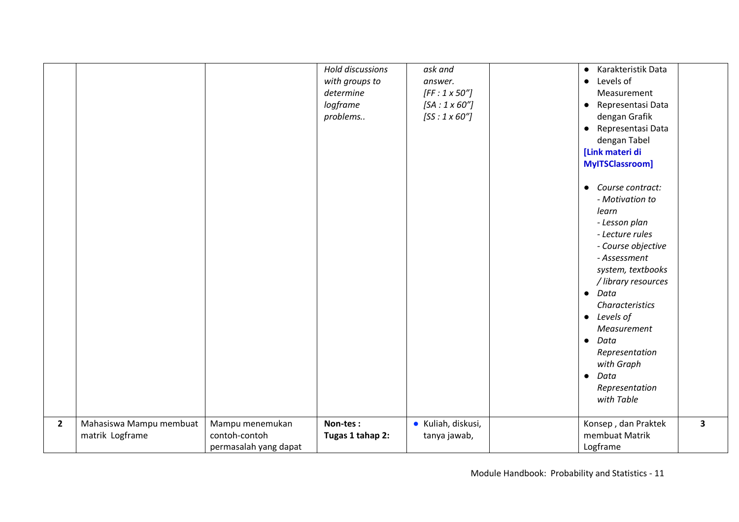|                |                                            |                                                           | Hold discussions<br>with groups to<br>determine<br>logframe<br>problems | ask and<br>answer.<br>$[FF:1 \times 50"]$<br>$[SA:1 \times 60"]$<br>$[SS:1\times60"]$ | • Karakteristik Data<br>• Levels of<br>Measurement<br>• Representasi Data<br>dengan Grafik<br>• Representasi Data<br>dengan Tabel<br>[Link materi di<br>MyITSClassroom]<br>• Course contract:<br>- Motivation to<br>learn<br>- Lesson plan<br>- Lecture rules<br>- Course objective<br>- Assessment<br>system, textbooks<br>/ library resources<br>$\bullet$ Data<br>Characteristics<br>$\bullet$ Levels of<br>Measurement<br>$\bullet$ Data<br>Representation<br>with Graph<br>$\bullet$ Data<br>Representation<br>with Table |                         |
|----------------|--------------------------------------------|-----------------------------------------------------------|-------------------------------------------------------------------------|---------------------------------------------------------------------------------------|--------------------------------------------------------------------------------------------------------------------------------------------------------------------------------------------------------------------------------------------------------------------------------------------------------------------------------------------------------------------------------------------------------------------------------------------------------------------------------------------------------------------------------|-------------------------|
| $\overline{2}$ | Mahasiswa Mampu membuat<br>matrik Logframe | Mampu menemukan<br>contoh-contoh<br>permasalah yang dapat | Non-tes:<br>Tugas 1 tahap 2:                                            | · Kuliah, diskusi,<br>tanya jawab,                                                    | Konsep, dan Praktek<br>membuat Matrik<br>Logframe                                                                                                                                                                                                                                                                                                                                                                                                                                                                              | $\overline{\mathbf{3}}$ |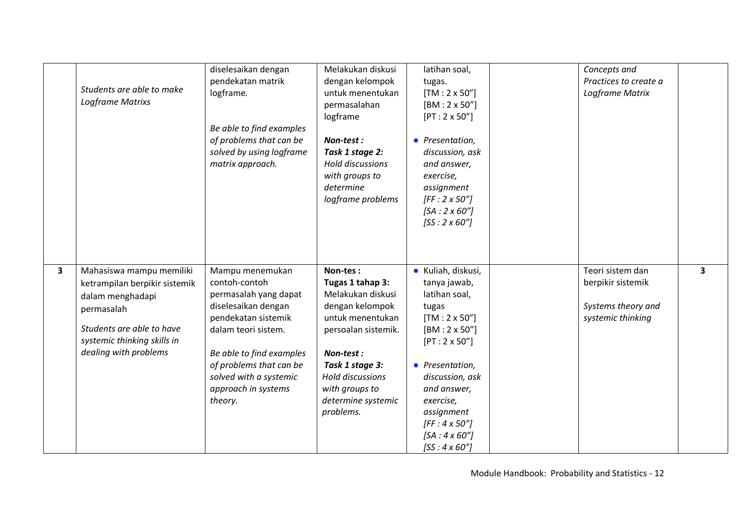|              | Students are able to make<br>Logframe Matrixs                                                                                                                                    | diselesaikan dengan<br>pendekatan matrik<br>logframe.<br>Be able to find examples<br>of problems that can be<br>solved by using logframe<br>matrix approach.                                                                                      | Melakukan diskusi<br>dengan kelompok<br>untuk menentukan<br>permasalahan<br>logframe<br>Non-test:<br>Task 1 stage 2:<br>Hold discussions<br>with groups to<br>determine<br>logframe problems                             | latihan soal,<br>tugas.<br>$[TM: 2 \times 50"$<br>$[BM:2 \times 50'']$<br>$[PT:2 \times 50'']$<br>• Presentation,<br>discussion, ask<br>and answer,<br>exercise,<br>assignment<br>$[FF:2 \times 50"]$<br>$[SA:2 \times 60"]$<br>$[SS:2 \times 60"]$                                      | Concepts and<br>Practices to create a<br>Logframe Matrix                         |                         |
|--------------|----------------------------------------------------------------------------------------------------------------------------------------------------------------------------------|---------------------------------------------------------------------------------------------------------------------------------------------------------------------------------------------------------------------------------------------------|--------------------------------------------------------------------------------------------------------------------------------------------------------------------------------------------------------------------------|------------------------------------------------------------------------------------------------------------------------------------------------------------------------------------------------------------------------------------------------------------------------------------------|----------------------------------------------------------------------------------|-------------------------|
| $\mathbf{3}$ | Mahasiswa mampu memiliki<br>ketrampilan berpikir sistemik<br>dalam menghadapi<br>permasalah<br>Students are able to have<br>systemic thinking skills in<br>dealing with problems | Mampu menemukan<br>contoh-contoh<br>permasalah yang dapat<br>diselesaikan dengan<br>pendekatan sistemik<br>dalam teori sistem.<br>Be able to find examples<br>of problems that can be<br>solved with a systemic<br>approach in systems<br>theory. | Non-tes:<br>Tugas 1 tahap 3:<br>Melakukan diskusi<br>dengan kelompok<br>untuk menentukan<br>persoalan sistemik.<br>Non-test:<br>Task 1 stage 3:<br>Hold discussions<br>with groups to<br>determine systemic<br>problems. | · Kuliah, diskusi,<br>tanya jawab,<br>latihan soal,<br>tugas<br>$[TM: 2 \times 50"$<br>$[BM:2 \times 50'']$<br>$[PT:2 \times 50'']$<br>• Presentation,<br>discussion, ask<br>and answer,<br>exercise,<br>assignment<br>$[FF:4 \times 50"]$<br>$[SA:4 \times 60"]$<br>$[SS:4 \times 60"]$ | Teori sistem dan<br>berpikir sistemik<br>Systems theory and<br>systemic thinking | $\overline{\mathbf{3}}$ |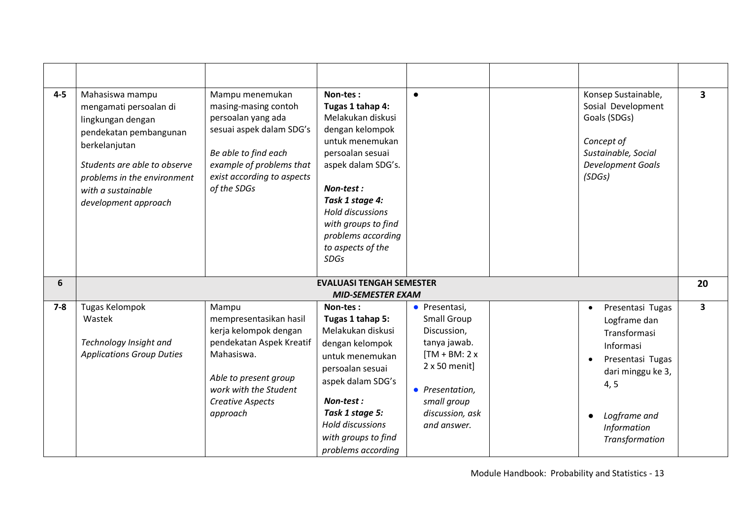| $4 - 5$ | Mahasiswa mampu<br>mengamati persoalan di<br>lingkungan dengan<br>pendekatan pembangunan<br>berkelanjutan<br>Students are able to observe<br>problems in the environment<br>with a sustainable<br>development approach | Mampu menemukan<br>masing-masing contoh<br>persoalan yang ada<br>sesuai aspek dalam SDG's<br>Be able to find each<br>example of problems that<br>exist according to aspects<br>of the SDGs  | Non-tes:<br>Tugas 1 tahap 4:<br>Melakukan diskusi<br>dengan kelompok<br>untuk menemukan<br>persoalan sesuai<br>aspek dalam SDG's.<br>Non-test :<br>Task 1 stage 4:<br><b>Hold discussions</b><br>with groups to find<br>problems according<br>to aspects of the<br><b>SDGs</b> | $\bullet$                                                                                                                                                                         | Konsep Sustainable,<br>Sosial Development<br>Goals (SDGs)<br>Concept of<br>Sustainable, Social<br><b>Development Goals</b><br>(SDGS)                                         | $\overline{\mathbf{3}}$ |
|---------|------------------------------------------------------------------------------------------------------------------------------------------------------------------------------------------------------------------------|---------------------------------------------------------------------------------------------------------------------------------------------------------------------------------------------|--------------------------------------------------------------------------------------------------------------------------------------------------------------------------------------------------------------------------------------------------------------------------------|-----------------------------------------------------------------------------------------------------------------------------------------------------------------------------------|------------------------------------------------------------------------------------------------------------------------------------------------------------------------------|-------------------------|
| 6       |                                                                                                                                                                                                                        |                                                                                                                                                                                             | <b>EVALUASI TENGAH SEMESTER</b><br><b>MID-SEMESTER EXAM</b>                                                                                                                                                                                                                    |                                                                                                                                                                                   |                                                                                                                                                                              | 20                      |
| $7 - 8$ | <b>Tugas Kelompok</b><br>Wastek<br>Technology Insight and<br><b>Applications Group Duties</b>                                                                                                                          | Mampu<br>mempresentasikan hasil<br>kerja kelompok dengan<br>pendekatan Aspek Kreatif<br>Mahasiswa.<br>Able to present group<br>work with the Student<br><b>Creative Aspects</b><br>approach | Non-tes:<br>Tugas 1 tahap 5:<br>Melakukan diskusi<br>dengan kelompok<br>untuk menemukan<br>persoalan sesuai<br>aspek dalam SDG's<br>Non-test:<br>Task 1 stage 5:<br><b>Hold discussions</b><br>with groups to find<br>problems according                                       | • Presentasi,<br><b>Small Group</b><br>Discussion,<br>tanya jawab.<br>$[TM + BM: 2x]$<br>$2 \times 50$ menit]<br>• Presentation,<br>small group<br>discussion, ask<br>and answer. | Presentasi Tugas<br>$\bullet$<br>Logframe dan<br>Transformasi<br>Informasi<br>Presentasi Tugas<br>dari minggu ke 3,<br>4, 5<br>Logframe and<br>Information<br>Transformation | 3                       |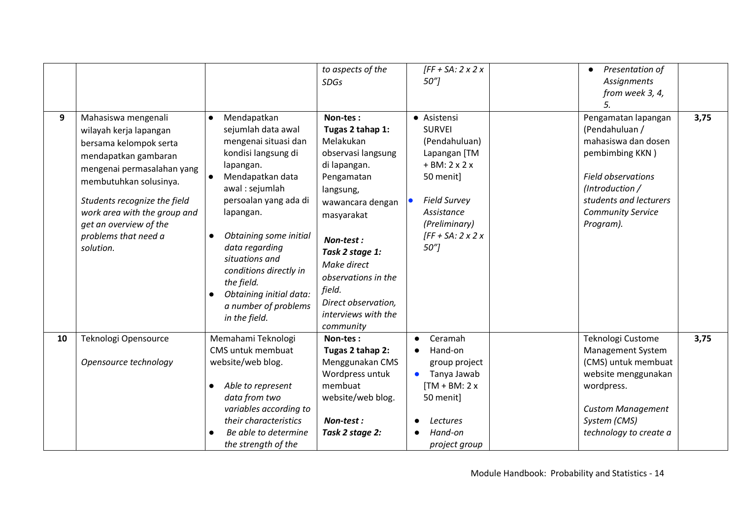| 9  | Mahasiswa mengenali<br>wilayah kerja lapangan<br>bersama kelompok serta                                                                               | Mendapatkan<br>$\bullet$                                                                                                                                                                                                                                 | <b>SDGs</b>                                                                                                                                                                            | $50''$ ]                                                                                             | <b>Assignments</b><br>from week 3, 4,                                                                        |      |
|----|-------------------------------------------------------------------------------------------------------------------------------------------------------|----------------------------------------------------------------------------------------------------------------------------------------------------------------------------------------------------------------------------------------------------------|----------------------------------------------------------------------------------------------------------------------------------------------------------------------------------------|------------------------------------------------------------------------------------------------------|--------------------------------------------------------------------------------------------------------------|------|
|    |                                                                                                                                                       |                                                                                                                                                                                                                                                          |                                                                                                                                                                                        |                                                                                                      |                                                                                                              |      |
|    |                                                                                                                                                       |                                                                                                                                                                                                                                                          |                                                                                                                                                                                        |                                                                                                      |                                                                                                              |      |
|    |                                                                                                                                                       |                                                                                                                                                                                                                                                          |                                                                                                                                                                                        |                                                                                                      | 5.                                                                                                           |      |
|    | mendapatkan gambaran<br>mengenai permasalahan yang                                                                                                    | sejumlah data awal<br>mengenai situasi dan<br>kondisi langsung di<br>lapangan.<br>Mendapatkan data<br>$\bullet$                                                                                                                                          | Non-tes:<br>Tugas 2 tahap 1:<br>Melakukan<br>observasi langsung<br>di lapangan.<br>Pengamatan                                                                                          | • Asistensi<br><b>SURVEI</b><br>(Pendahuluan)<br>Lapangan [TM<br>$+ BM: 2 x 2 x$<br>50 menit]        | Pengamatan lapangan<br>(Pendahuluan /<br>mahasiswa dan dosen<br>pembimbing KKN)<br><b>Field observations</b> | 3,75 |
|    | membutuhkan solusinya.<br>Students recognize the field<br>work area with the group and<br>get an overview of the<br>problems that need a<br>solution. | awal: sejumlah<br>persoalan yang ada di<br>lapangan.<br>Obtaining some initial<br>$\bullet$<br>data regarding<br>situations and<br>conditions directly in<br>the field.<br>Obtaining initial data:<br>$\bullet$<br>a number of problems<br>in the field. | langsung,<br>wawancara dengan<br>masyarakat<br>Non-test:<br>Task 2 stage 1:<br>Make direct<br>observations in the<br>field.<br>Direct observation,<br>interviews with the<br>community | <b>Field Survey</b><br>Assistance<br>(Preliminary)<br>$\sqrt{FF + SA}$ : 2 x 2 x<br>50 <sup>''</sup> | (Introduction /<br>students and lecturers<br><b>Community Service</b><br>Program).                           |      |
| 10 | Teknologi Opensource<br>Opensource technology                                                                                                         | Memahami Teknologi<br>CMS untuk membuat<br>website/web blog.                                                                                                                                                                                             | Non-tes:<br>Tugas 2 tahap 2:<br>Menggunakan CMS                                                                                                                                        | Ceramah<br>Hand-on<br>group project                                                                  | Teknologi Custome<br>Management System<br>(CMS) untuk membuat                                                | 3,75 |
|    |                                                                                                                                                       | Able to represent<br>$\bullet$<br>data from two<br>variables according to<br>their characteristics<br>Be able to determine<br>the strength of the                                                                                                        | Wordpress untuk<br>membuat<br>website/web blog.<br>Non-test:<br>Task 2 stage 2:                                                                                                        | Tanya Jawab<br>$TM + BM: 2x$<br>50 menit]<br>Lectures<br>Hand-on<br>project group                    | website menggunakan<br>wordpress.<br><b>Custom Management</b><br>System (CMS)<br>technology to create a      |      |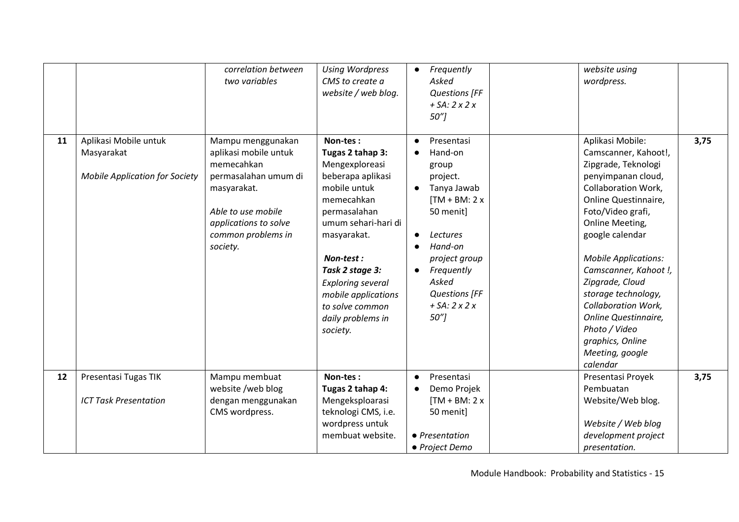|    |                                                                              | correlation between<br>two variables                                                                                                                                             | <b>Using Wordpress</b><br>CMS to create a<br>website / web blog.                                                                                                                                                                                                                               | Frequently<br>$\bullet$<br>Asked<br><b>Questions [FF</b><br>$+ SA: 2x2x$<br>$50^{\prime\prime}$                                                                                                                                              | website using<br>wordpress.                                                                                                                                                                                                                                                                                                                                                                                                        |      |
|----|------------------------------------------------------------------------------|----------------------------------------------------------------------------------------------------------------------------------------------------------------------------------|------------------------------------------------------------------------------------------------------------------------------------------------------------------------------------------------------------------------------------------------------------------------------------------------|----------------------------------------------------------------------------------------------------------------------------------------------------------------------------------------------------------------------------------------------|------------------------------------------------------------------------------------------------------------------------------------------------------------------------------------------------------------------------------------------------------------------------------------------------------------------------------------------------------------------------------------------------------------------------------------|------|
| 11 | Aplikasi Mobile untuk<br>Masyarakat<br><b>Mobile Application for Society</b> | Mampu menggunakan<br>aplikasi mobile untuk<br>memecahkan<br>permasalahan umum di<br>masyarakat.<br>Able to use mobile<br>applications to solve<br>common problems in<br>society. | Non-tes:<br>Tugas 2 tahap 3:<br>Mengexploreasi<br>beberapa aplikasi<br>mobile untuk<br>memecahkan<br>permasalahan<br>umum sehari-hari di<br>masyarakat.<br>Non-test:<br>Task 2 stage 3:<br><b>Exploring several</b><br>mobile applications<br>to solve common<br>daily problems in<br>society. | Presentasi<br>$\bullet$<br>Hand-on<br>group<br>project.<br>Tanya Jawab<br>$[TM + BM: 2x]$<br>50 menit]<br><b>Lectures</b><br>Hand-on<br>project group<br>Frequently<br>$\bullet$<br>Asked<br><b>Questions [FF</b><br>$+ SA: 2x2x$<br>$50$ "] | Aplikasi Mobile:<br>Camscanner, Kahoot!,<br>Zipgrade, Teknologi<br>penyimpanan cloud,<br><b>Collaboration Work,</b><br>Online Questinnaire,<br>Foto/Video grafi,<br>Online Meeting,<br>google calendar<br><b>Mobile Applications:</b><br>Camscanner, Kahoot !,<br>Zipgrade, Cloud<br>storage technology,<br><b>Collaboration Work,</b><br>Online Questinnaire,<br>Photo / Video<br>graphics, Online<br>Meeting, google<br>calendar | 3,75 |
| 12 | Presentasi Tugas TIK<br><b>ICT Task Presentation</b>                         | Mampu membuat<br>website /web blog<br>dengan menggunakan<br>CMS wordpress.                                                                                                       | Non-tes:<br>Tugas 2 tahap 4:<br>Mengeksploarasi<br>teknologi CMS, i.e.<br>wordpress untuk<br>membuat website.                                                                                                                                                                                  | Presentasi<br>$\bullet$<br>Demo Projek<br>$[TM + BM: 2x]$<br>50 menit]<br>• Presentation<br>• Project Demo                                                                                                                                   | Presentasi Proyek<br>Pembuatan<br>Website/Web blog.<br>Website / Web blog<br>development project<br>presentation.                                                                                                                                                                                                                                                                                                                  | 3,75 |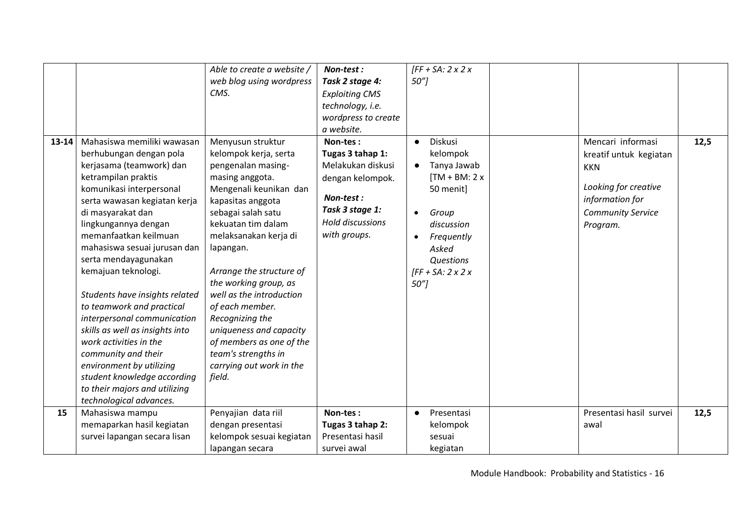|           |                                 | Able to create a website / | Non-test:               | $\sqrt{FF + SA}$ : 2 x 2 x |                          |      |
|-----------|---------------------------------|----------------------------|-------------------------|----------------------------|--------------------------|------|
|           |                                 | web blog using wordpress   | Task 2 stage 4:         | $50''$ ]                   |                          |      |
|           |                                 | CMS.                       | <b>Exploiting CMS</b>   |                            |                          |      |
|           |                                 |                            | technology, i.e.        |                            |                          |      |
|           |                                 |                            | wordpress to create     |                            |                          |      |
|           |                                 |                            | a website.              |                            |                          |      |
| $13 - 14$ | Mahasiswa memiliki wawasan      | Menyusun struktur          | Non-tes:                | Diskusi<br>$\bullet$       | Mencari informasi        | 12,5 |
|           | berhubungan dengan pola         | kelompok kerja, serta      | Tugas 3 tahap 1:        | kelompok                   | kreatif untuk kegiatan   |      |
|           | kerjasama (teamwork) dan        | pengenalan masing-         | Melakukan diskusi       | Tanya Jawab                | <b>KKN</b>               |      |
|           | ketrampilan praktis             | masing anggota.            | dengan kelompok.        | $TM + BM: 2x$              |                          |      |
|           | komunikasi interpersonal        | Mengenali keunikan dan     |                         | 50 menit]                  | Looking for creative     |      |
|           | serta wawasan kegiatan kerja    | kapasitas anggota          | Non-test:               |                            | information for          |      |
|           | di masyarakat dan               | sebagai salah satu         | Task 3 stage 1:         | Group<br>$\bullet$         | <b>Community Service</b> |      |
|           | lingkungannya dengan            | kekuatan tim dalam         | <b>Hold discussions</b> | discussion                 | Program.                 |      |
|           | memanfaatkan keilmuan           | melaksanakan kerja di      | with groups.            | Frequently<br>$\bullet$    |                          |      |
|           | mahasiswa sesuai jurusan dan    | lapangan.                  |                         | Asked                      |                          |      |
|           | serta mendayagunakan            |                            |                         | Questions                  |                          |      |
|           | kemajuan teknologi.             | Arrange the structure of   |                         | $\sqrt{FF + SA}$ : 2 x 2 x |                          |      |
|           |                                 | the working group, as      |                         | 50"]                       |                          |      |
|           | Students have insights related  | well as the introduction   |                         |                            |                          |      |
|           | to teamwork and practical       | of each member.            |                         |                            |                          |      |
|           | interpersonal communication     | Recognizing the            |                         |                            |                          |      |
|           | skills as well as insights into | uniqueness and capacity    |                         |                            |                          |      |
|           | work activities in the          | of members as one of the   |                         |                            |                          |      |
|           | community and their             | team's strengths in        |                         |                            |                          |      |
|           | environment by utilizing        | carrying out work in the   |                         |                            |                          |      |
|           | student knowledge according     | field.                     |                         |                            |                          |      |
|           | to their majors and utilizing   |                            |                         |                            |                          |      |
|           | technological advances.         |                            |                         |                            |                          |      |
| 15        | Mahasiswa mampu                 | Penyajian data riil        | Non-tes:                | Presentasi<br>$\bullet$    | Presentasi hasil survei  | 12,5 |
|           | memaparkan hasil kegiatan       | dengan presentasi          | Tugas 3 tahap 2:        | kelompok                   | awal                     |      |
|           | survei lapangan secara lisan    | kelompok sesuai kegiatan   | Presentasi hasil        | sesuai                     |                          |      |
|           |                                 | lapangan secara            | survei awal             | kegiatan                   |                          |      |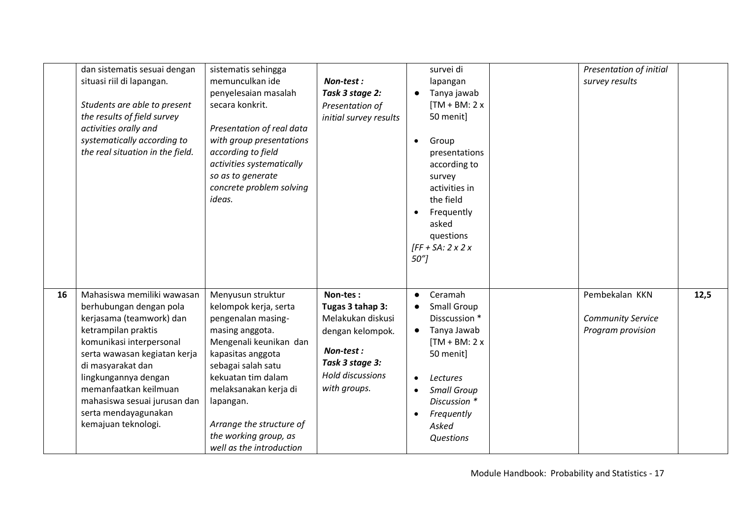|    | dan sistematis sesuai dengan<br>situasi riil di lapangan.<br>Students are able to present<br>the results of field survey<br>activities orally and<br>systematically according to<br>the real situation in the field.                                                                                                      | sistematis sehingga<br>memunculkan ide<br>penyelesaian masalah<br>secara konkrit.<br>Presentation of real data<br>with group presentations<br>according to field<br>activities systematically<br>so as to generate<br>concrete problem solving<br>ideas.                                              | Non-test:<br>Task 3 stage 2:<br>Presentation of<br>initial survey results                                                                 | survei di<br>lapangan<br>Tanya jawab<br>$[TM + BM: 2x]$<br>50 menit]<br>Group<br>$\bullet$<br>presentations<br>according to<br>survey<br>activities in<br>the field<br>Frequently<br>$\bullet$<br>asked<br>questions<br>$\sqrt{FF + SA}$ : 2 x 2 x<br>50 <sup>''</sup> | Presentation of initial<br>survey results                               |  |
|----|---------------------------------------------------------------------------------------------------------------------------------------------------------------------------------------------------------------------------------------------------------------------------------------------------------------------------|-------------------------------------------------------------------------------------------------------------------------------------------------------------------------------------------------------------------------------------------------------------------------------------------------------|-------------------------------------------------------------------------------------------------------------------------------------------|------------------------------------------------------------------------------------------------------------------------------------------------------------------------------------------------------------------------------------------------------------------------|-------------------------------------------------------------------------|--|
| 16 | Mahasiswa memiliki wawasan<br>berhubungan dengan pola<br>kerjasama (teamwork) dan<br>ketrampilan praktis<br>komunikasi interpersonal<br>serta wawasan kegiatan kerja<br>di masyarakat dan<br>lingkungannya dengan<br>memanfaatkan keilmuan<br>mahasiswa sesuai jurusan dan<br>serta mendayagunakan<br>kemajuan teknologi. | Menyusun struktur<br>kelompok kerja, serta<br>pengenalan masing-<br>masing anggota.<br>Mengenali keunikan dan<br>kapasitas anggota<br>sebagai salah satu<br>kekuatan tim dalam<br>melaksanakan kerja di<br>lapangan.<br>Arrange the structure of<br>the working group, as<br>well as the introduction | Non-tes:<br>Tugas 3 tahap 3:<br>Melakukan diskusi<br>dengan kelompok.<br>Non-test:<br>Task 3 stage 3:<br>Hold discussions<br>with groups. | Ceramah<br>Small Group<br>Disscussion *<br>Tanya Jawab<br>$\bullet$<br>$TM + BM: 2x$<br>50 menit]<br>Lectures<br><b>Small Group</b><br>Discussion *<br>Frequently<br>$\bullet$<br>Asked<br>Questions                                                                   | Pembekalan KKN<br>12,5<br><b>Community Service</b><br>Program provision |  |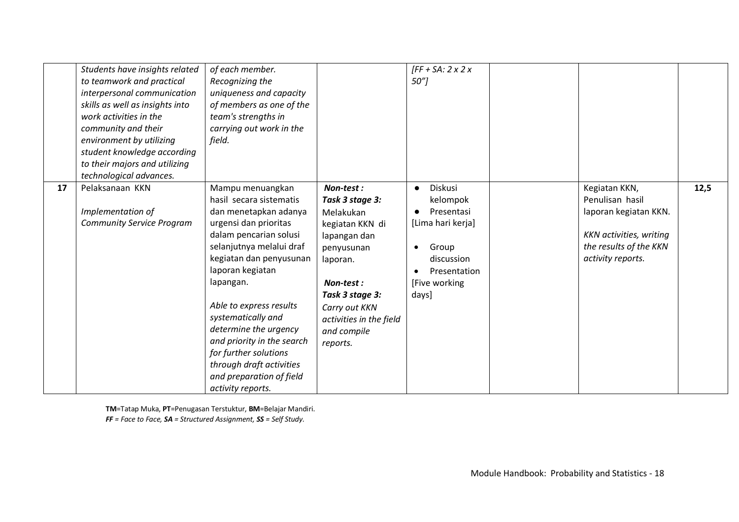|    | Students have insights related<br>to teamwork and practical<br>interpersonal communication<br>skills as well as insights into<br>work activities in the<br>community and their<br>environment by utilizing<br>student knowledge according<br>to their majors and utilizing<br>technological advances. | of each member.<br>Recognizing the<br>uniqueness and capacity<br>of members as one of the<br>team's strengths in<br>carrying out work in the<br>field.                                                                                                                                                                                                                                                                        |                                                                                                                                                                                                               | $[FF + SA: 2x 2x$<br>$50$ "]                                                                                                         |                                                                                                                                            |      |
|----|-------------------------------------------------------------------------------------------------------------------------------------------------------------------------------------------------------------------------------------------------------------------------------------------------------|-------------------------------------------------------------------------------------------------------------------------------------------------------------------------------------------------------------------------------------------------------------------------------------------------------------------------------------------------------------------------------------------------------------------------------|---------------------------------------------------------------------------------------------------------------------------------------------------------------------------------------------------------------|--------------------------------------------------------------------------------------------------------------------------------------|--------------------------------------------------------------------------------------------------------------------------------------------|------|
| 17 | Pelaksanaan KKN<br>Implementation of<br><b>Community Service Program</b>                                                                                                                                                                                                                              | Mampu menuangkan<br>hasil secara sistematis<br>dan menetapkan adanya<br>urgensi dan prioritas<br>dalam pencarian solusi<br>selanjutnya melalui draf<br>kegiatan dan penyusunan<br>laporan kegiatan<br>lapangan.<br>Able to express results<br>systematically and<br>determine the urgency<br>and priority in the search<br>for further solutions<br>through draft activities<br>and preparation of field<br>activity reports. | Non-test:<br>Task 3 stage 3:<br>Melakukan<br>kegiatan KKN di<br>lapangan dan<br>penyusunan<br>laporan.<br>Non-test:<br>Task 3 stage 3:<br>Carry out KKN<br>activities in the field<br>and compile<br>reports. | Diskusi<br>$\bullet$<br>kelompok<br>Presentasi<br>[Lima hari kerja]<br>Group<br>discussion<br>Presentation<br>[Five working<br>days] | Kegiatan KKN,<br>Penulisan hasil<br>laporan kegiatan KKN.<br><b>KKN</b> activities, writing<br>the results of the KKN<br>activity reports. | 12,5 |

**TM**=Tatap Muka, **PT**=Penugasan Terstuktur, **BM**=Belajar Mandiri. *FF = Face to Face, SA = Structured Assignment, SS = Self Study.*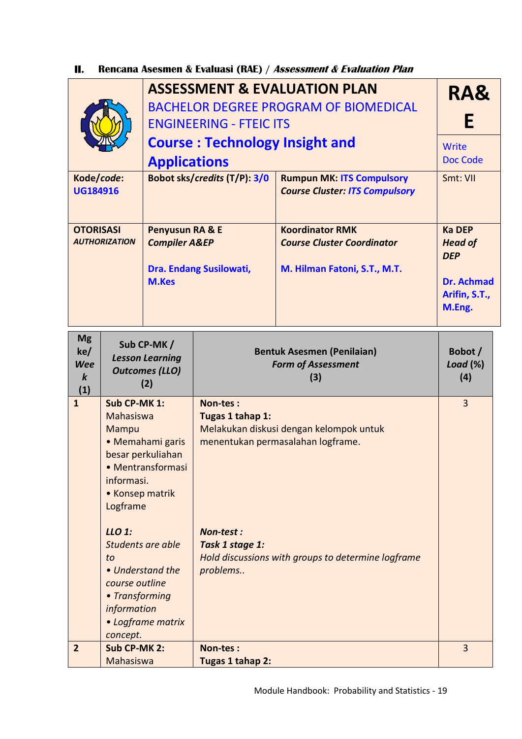**II. Rencana Asesmen & Evaluasi (RAE) / Assessment & Evaluation Plan** 

|                                                           |                                                                                                 |                                                                                                     | <b>ENGINEERING - FTEIC ITS</b>                                                                                                                                                                     | <b>ASSESSMENT &amp; EVALUATION PLAN</b><br><b>BACHELOR DEGREE PROGRAM OF BIOMEDICAL</b>     | RA&<br>Е                                                                                      |  |                |
|-----------------------------------------------------------|-------------------------------------------------------------------------------------------------|-----------------------------------------------------------------------------------------------------|----------------------------------------------------------------------------------------------------------------------------------------------------------------------------------------------------|---------------------------------------------------------------------------------------------|-----------------------------------------------------------------------------------------------|--|----------------|
|                                                           |                                                                                                 | <b>Applications</b>                                                                                 | <b>Course: Technology Insight and</b>                                                                                                                                                              |                                                                                             | Write<br>Doc Code                                                                             |  |                |
| Kode/code:<br><b>UG184916</b>                             |                                                                                                 | Bobot sks/credits (T/P): 3/0                                                                        | <b>Rumpun MK: ITS Compulsory</b><br><b>Course Cluster: ITS Compulsory</b>                                                                                                                          | Smt: VII                                                                                    |                                                                                               |  |                |
| <b>OTORISASI</b><br><b>AUTHORIZATION</b><br><b>M.Kes</b>  |                                                                                                 | Penyusun RA & E<br><b>Compiler A&amp;EP</b>                                                         | Dra. Endang Susilowati,                                                                                                                                                                            | <b>Koordinator RMK</b><br><b>Course Cluster Coordinator</b><br>M. Hilman Fatoni, S.T., M.T. | <b>Ka DEP</b><br><b>Head of</b><br><b>DEP</b><br><b>Dr. Achmad</b><br>Arifin, S.T.,<br>M.Eng. |  |                |
| <b>Mg</b><br>ke/<br><b>Wee</b><br>$\boldsymbol{k}$<br>(1) |                                                                                                 | Sub CP-MK/<br><b>Lesson Learning</b><br><b>Outcomes (LLO)</b><br>(2)                                |                                                                                                                                                                                                    | <b>Bentuk Asesmen (Penilaian)</b><br><b>Form of Assessment</b><br>(3)                       | Bobot /<br>Load $(\%)$<br>(4)                                                                 |  |                |
| $\overline{1}$                                            | Sub CP-MK 1:<br>Mahasiswa<br>Mampu<br>informasi.<br>• Konsep matrik<br>Logframe<br>LLO 1:<br>to | • Memahami garis<br>besar perkuliahan<br>• Mentransformasi<br>Students are able<br>• Understand the | Non-tes:<br>Tugas 1 tahap 1:<br>Melakukan diskusi dengan kelompok untuk<br>menentukan permasalahan logframe.<br>Non-test:<br>Task 1 stage 1:<br>Hold discussions with groups to determine logframe |                                                                                             | problems                                                                                      |  | $\overline{3}$ |
| $\overline{2}$                                            | course outline<br>• Transforming<br>information<br>concept.<br>Sub CP-MK 2:<br>Mahasiswa        | • Logframe matrix                                                                                   | Non-tes:<br>Tugas 1 tahap 2:                                                                                                                                                                       |                                                                                             | 3                                                                                             |  |                |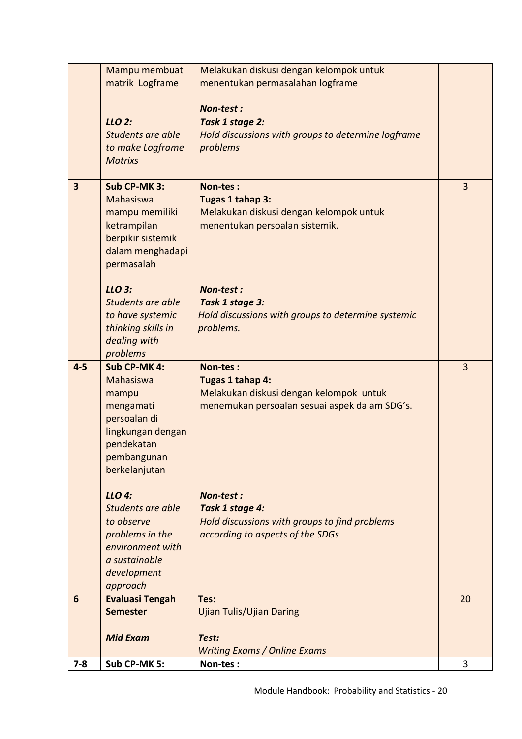| $7 - 8$                 | Sub CP-MK 5:                                                                                                                       | Non-tes:                                                                                                                 | 3              |
|-------------------------|------------------------------------------------------------------------------------------------------------------------------------|--------------------------------------------------------------------------------------------------------------------------|----------------|
|                         | <b>Mid Exam</b>                                                                                                                    | Test:<br><b>Writing Exams / Online Exams</b>                                                                             |                |
| $6\phantom{1}6$         | <b>Evaluasi Tengah</b><br><b>Semester</b>                                                                                          | Tes:<br><b>Ujian Tulis/Ujian Daring</b>                                                                                  | 20             |
|                         | LLO 4:<br>Students are able<br>to observe<br>problems in the<br>environment with<br>a sustainable<br>development<br>approach       | Non-test:<br>Task 1 stage 4:<br>Hold discussions with groups to find problems<br>according to aspects of the SDGs        |                |
| $4 - 5$                 | Sub CP-MK 4:<br>Mahasiswa<br>mampu<br>mengamati<br>persoalan di<br>lingkungan dengan<br>pendekatan<br>pembangunan<br>berkelanjutan | Non-tes:<br>Tugas 1 tahap 4:<br>Melakukan diskusi dengan kelompok untuk<br>menemukan persoalan sesuai aspek dalam SDG's. | $\overline{3}$ |
|                         | $LLO$ 3:<br>Students are able<br>to have systemic<br>thinking skills in<br>dealing with<br>problems                                | Non-test:<br>Task 1 stage 3:<br>Hold discussions with groups to determine systemic<br>problems.                          |                |
| $\overline{\mathbf{3}}$ | Sub CP-MK 3:<br>Mahasiswa<br>mampu memiliki<br>ketrampilan<br>berpikir sistemik<br>dalam menghadapi<br>permasalah                  | Non-tes:<br>Tugas 1 tahap 3:<br>Melakukan diskusi dengan kelompok untuk<br>menentukan persoalan sistemik.                | 3              |
|                         | LLO 2:<br>Students are able<br>to make Logframe<br><b>Matrixs</b>                                                                  | Non-test:<br>Task 1 stage 2:<br>Hold discussions with groups to determine logframe<br>problems                           |                |
|                         | Mampu membuat<br>matrik Logframe                                                                                                   | Melakukan diskusi dengan kelompok untuk<br>menentukan permasalahan logframe                                              |                |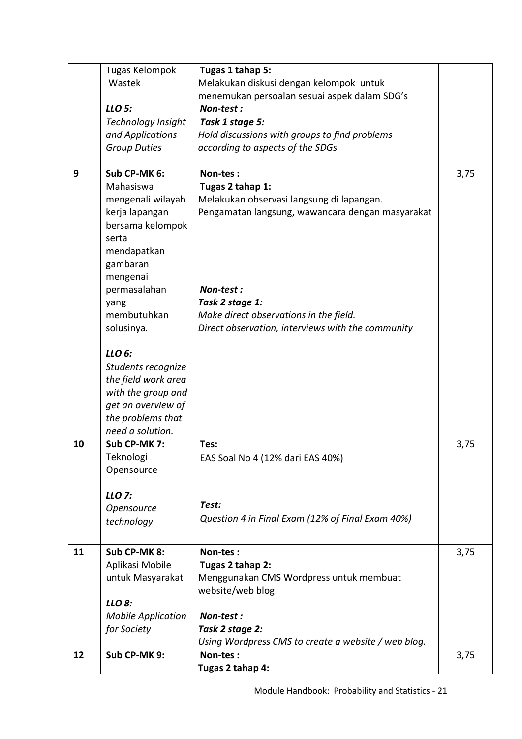|    | Tugas Kelompok            | Tugas 1 tahap 5:                                                       |      |
|----|---------------------------|------------------------------------------------------------------------|------|
|    | Wastek                    | Melakukan diskusi dengan kelompok untuk                                |      |
|    | LLO 5:                    | menemukan persoalan sesuai aspek dalam SDG's<br>Non-test:              |      |
|    | <b>Technology Insight</b> | Task 1 stage 5:                                                        |      |
|    | and Applications          | Hold discussions with groups to find problems                          |      |
|    | <b>Group Duties</b>       | according to aspects of the SDGs                                       |      |
|    |                           |                                                                        |      |
| 9  | Sub CP-MK 6:              | Non-tes:                                                               | 3,75 |
|    | Mahasiswa                 | Tugas 2 tahap 1:                                                       |      |
|    | mengenali wilayah         | Melakukan observasi langsung di lapangan.                              |      |
|    | kerja lapangan            | Pengamatan langsung, wawancara dengan masyarakat                       |      |
|    | bersama kelompok          |                                                                        |      |
|    | serta                     |                                                                        |      |
|    | mendapatkan               |                                                                        |      |
|    | gambaran                  |                                                                        |      |
|    | mengenai                  | Non-test:                                                              |      |
|    | permasalahan              | Task 2 stage 1:                                                        |      |
|    | yang<br>membutuhkan       | Make direct observations in the field.                                 |      |
|    | solusinya.                | Direct observation, interviews with the community                      |      |
|    |                           |                                                                        |      |
|    | LLO 6:                    |                                                                        |      |
|    | Students recognize        |                                                                        |      |
|    | the field work area       |                                                                        |      |
|    | with the group and        |                                                                        |      |
|    | get an overview of        |                                                                        |      |
|    | the problems that         |                                                                        |      |
|    | need a solution.          |                                                                        |      |
| 10 | Sub CP-MK 7:              | Tes:                                                                   | 3,75 |
|    | Teknologi                 | EAS Soal No 4 (12% dari EAS 40%)                                       |      |
|    | Opensource                |                                                                        |      |
|    | LLO 7:                    |                                                                        |      |
|    | Opensource                | Test:                                                                  |      |
|    | technology                | Question 4 in Final Exam (12% of Final Exam 40%)                       |      |
|    |                           |                                                                        |      |
| 11 | Sub CP-MK 8:              | Non-tes:                                                               | 3,75 |
|    | Aplikasi Mobile           | Tugas 2 tahap 2:                                                       |      |
|    | untuk Masyarakat          | Menggunakan CMS Wordpress untuk membuat                                |      |
|    |                           | website/web blog.                                                      |      |
|    | LLO 8:                    |                                                                        |      |
|    | <b>Mobile Application</b> | Non-test:                                                              |      |
|    | for Society               | Task 2 stage 2:<br>Using Wordpress CMS to create a website / web blog. |      |
| 12 | Sub CP-MK 9:              | Non-tes:                                                               | 3,75 |
|    |                           | Tugas 2 tahap 4:                                                       |      |
|    |                           |                                                                        |      |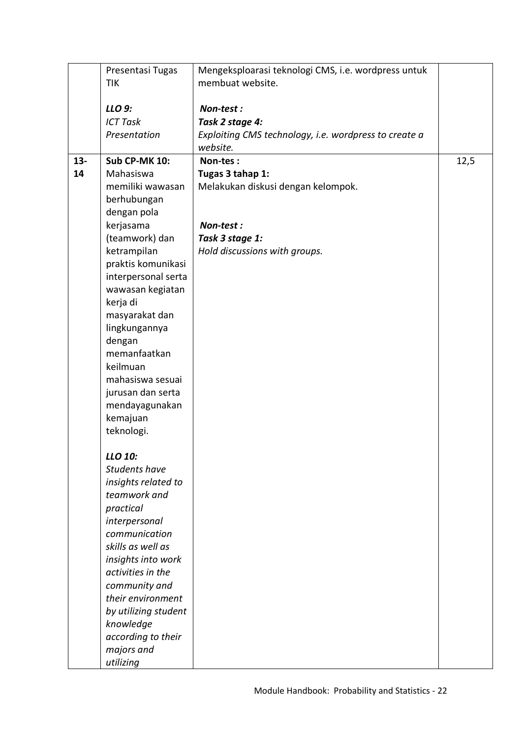|        | Presentasi Tugas     | Mengeksploarasi teknologi CMS, i.e. wordpress untuk   |      |
|--------|----------------------|-------------------------------------------------------|------|
|        | TIK                  | membuat website.                                      |      |
|        |                      |                                                       |      |
|        | LLO 9:               | Non-test:                                             |      |
|        | <b>ICT Task</b>      | Task 2 stage 4:                                       |      |
|        | Presentation         | Exploiting CMS technology, i.e. wordpress to create a |      |
|        |                      | website.                                              |      |
| $13 -$ | <b>Sub CP-MK 10:</b> | Non-tes:                                              | 12,5 |
| 14     | Mahasiswa            | Tugas 3 tahap 1:                                      |      |
|        | memiliki wawasan     | Melakukan diskusi dengan kelompok.                    |      |
|        | berhubungan          |                                                       |      |
|        | dengan pola          |                                                       |      |
|        | kerjasama            | Non-test:                                             |      |
|        | (teamwork) dan       | Task 3 stage 1:                                       |      |
|        | ketrampilan          | Hold discussions with groups.                         |      |
|        | praktis komunikasi   |                                                       |      |
|        | interpersonal serta  |                                                       |      |
|        | wawasan kegiatan     |                                                       |      |
|        | kerja di             |                                                       |      |
|        | masyarakat dan       |                                                       |      |
|        | lingkungannya        |                                                       |      |
|        | dengan               |                                                       |      |
|        | memanfaatkan         |                                                       |      |
|        | keilmuan             |                                                       |      |
|        | mahasiswa sesuai     |                                                       |      |
|        | jurusan dan serta    |                                                       |      |
|        | mendayagunakan       |                                                       |      |
|        | kemajuan             |                                                       |      |
|        | teknologi.           |                                                       |      |
|        |                      |                                                       |      |
|        | LLO 10:              |                                                       |      |
|        | <b>Students have</b> |                                                       |      |
|        | insights related to  |                                                       |      |
|        | teamwork and         |                                                       |      |
|        | practical            |                                                       |      |
|        | interpersonal        |                                                       |      |
|        | communication        |                                                       |      |
|        | skills as well as    |                                                       |      |
|        | insights into work   |                                                       |      |
|        | activities in the    |                                                       |      |
|        | community and        |                                                       |      |
|        | their environment    |                                                       |      |
|        | by utilizing student |                                                       |      |
|        | knowledge            |                                                       |      |
|        | according to their   |                                                       |      |
|        | majors and           |                                                       |      |
|        | utilizing            |                                                       |      |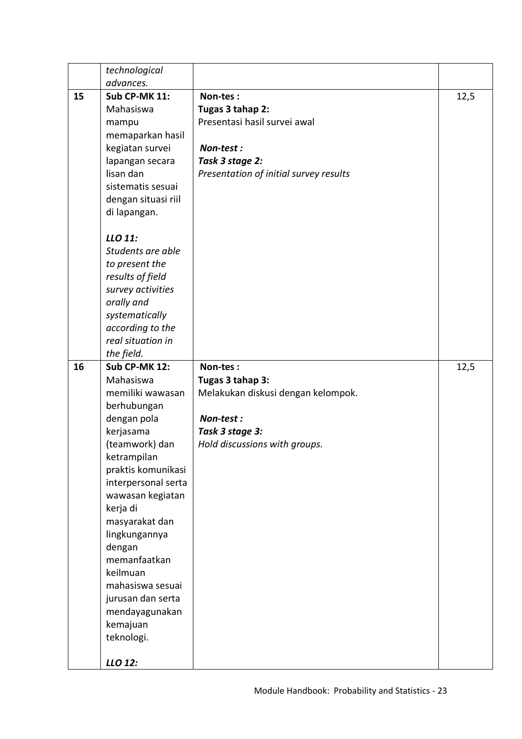|    | technological        |                                        |      |
|----|----------------------|----------------------------------------|------|
|    | advances.            |                                        |      |
| 15 | <b>Sub CP-MK 11:</b> | Non-tes:                               | 12,5 |
|    | Mahasiswa            | Tugas 3 tahap 2:                       |      |
|    | mampu                | Presentasi hasil survei awal           |      |
|    | memaparkan hasil     |                                        |      |
|    | kegiatan survei      | Non-test:                              |      |
|    | lapangan secara      | Task 3 stage 2:                        |      |
|    | lisan dan            | Presentation of initial survey results |      |
|    | sistematis sesuai    |                                        |      |
|    | dengan situasi riil  |                                        |      |
|    | di lapangan.         |                                        |      |
|    | LLO 11:              |                                        |      |
|    | Students are able    |                                        |      |
|    | to present the       |                                        |      |
|    | results of field     |                                        |      |
|    | survey activities    |                                        |      |
|    | orally and           |                                        |      |
|    | systematically       |                                        |      |
|    | according to the     |                                        |      |
|    | real situation in    |                                        |      |
|    | the field.           |                                        |      |
| 16 | <b>Sub CP-MK 12:</b> | Non-tes:                               | 12,5 |
|    | Mahasiswa            | Tugas 3 tahap 3:                       |      |
|    | memiliki wawasan     | Melakukan diskusi dengan kelompok.     |      |
|    | berhubungan          |                                        |      |
|    | dengan pola          | Non-test:                              |      |
|    | kerjasama            | Task 3 stage 3:                        |      |
|    | (teamwork) dan       | Hold discussions with groups.          |      |
|    | ketrampilan          |                                        |      |
|    | praktis komunikasi   |                                        |      |
|    | interpersonal serta  |                                        |      |
|    | wawasan kegiatan     |                                        |      |
|    | kerja di             |                                        |      |
|    | masyarakat dan       |                                        |      |
|    | lingkungannya        |                                        |      |
|    | dengan               |                                        |      |
|    | memanfaatkan         |                                        |      |
|    | keilmuan             |                                        |      |
|    | mahasiswa sesuai     |                                        |      |
|    | jurusan dan serta    |                                        |      |
|    | mendayagunakan       |                                        |      |
|    | kemajuan             |                                        |      |
|    | teknologi.           |                                        |      |
|    | LLO 12:              |                                        |      |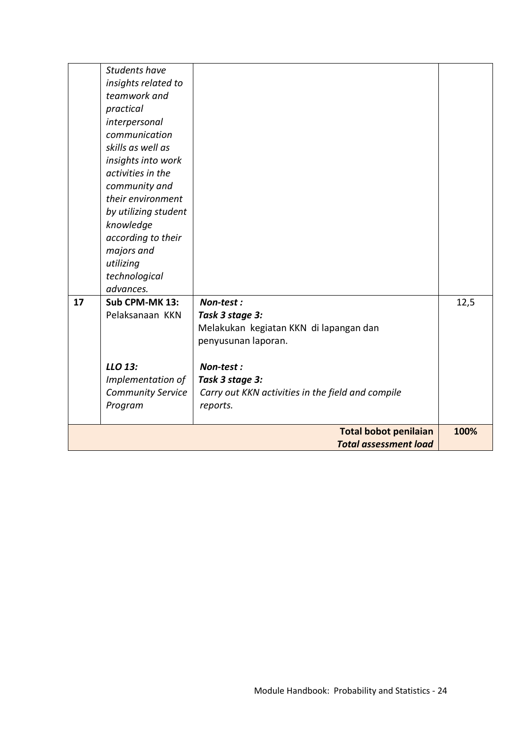|    | <b>Students have</b>     |                                                   |      |
|----|--------------------------|---------------------------------------------------|------|
|    | insights related to      |                                                   |      |
|    | teamwork and             |                                                   |      |
|    | practical                |                                                   |      |
|    | interpersonal            |                                                   |      |
|    | communication            |                                                   |      |
|    | skills as well as        |                                                   |      |
|    | insights into work       |                                                   |      |
|    | activities in the        |                                                   |      |
|    | community and            |                                                   |      |
|    | their environment        |                                                   |      |
|    | by utilizing student     |                                                   |      |
|    | knowledge                |                                                   |      |
|    | according to their       |                                                   |      |
|    | majors and               |                                                   |      |
|    | utilizing                |                                                   |      |
|    | technological            |                                                   |      |
|    | advances.                |                                                   |      |
| 17 | Sub CPM-MK 13:           | Non-test:                                         | 12,5 |
|    | Pelaksanaan KKN          | Task 3 stage 3:                                   |      |
|    |                          | Melakukan kegiatan KKN di lapangan dan            |      |
|    |                          | penyusunan laporan.                               |      |
|    |                          |                                                   |      |
|    | LLO 13:                  | Non-test:                                         |      |
|    | Implementation of        | Task 3 stage 3:                                   |      |
|    | <b>Community Service</b> | Carry out KKN activities in the field and compile |      |
|    | Program                  | reports.                                          |      |
|    |                          | <b>Total bobot penilaian</b>                      | 100% |
|    |                          | <b>Total assessment load</b>                      |      |